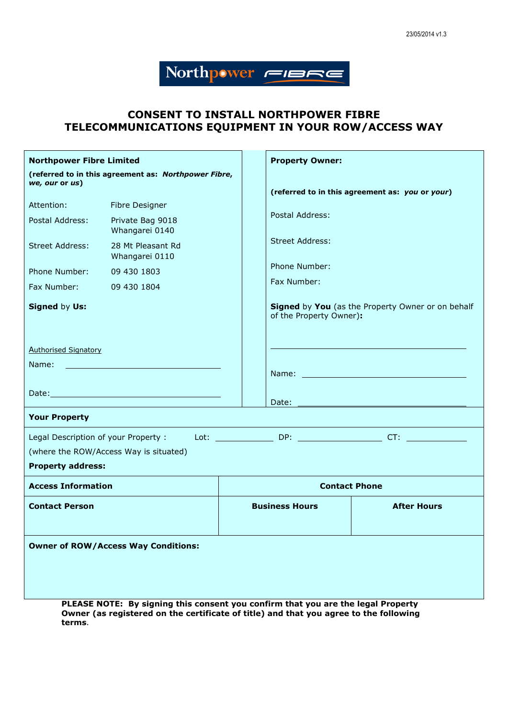# Northpwer FIBRE

# **CONSENT TO INSTALL NORTHPOWER FIBRE TELECOMMUNICATIONS EQUIPMENT IN YOUR ROW/ACCESS WAY**

| <b>Northpower Fibre Limited</b>                                                                                                                                                                                                |                                     |                       | <b>Property Owner:</b>                                                       |                                                                                                                                                                                                                                |
|--------------------------------------------------------------------------------------------------------------------------------------------------------------------------------------------------------------------------------|-------------------------------------|-----------------------|------------------------------------------------------------------------------|--------------------------------------------------------------------------------------------------------------------------------------------------------------------------------------------------------------------------------|
| (referred to in this agreement as: Northpower Fibre,<br>we, our or us)                                                                                                                                                         |                                     |                       |                                                                              |                                                                                                                                                                                                                                |
| Attention:                                                                                                                                                                                                                     | Fibre Designer                      |                       |                                                                              | (referred to in this agreement as: you or your)                                                                                                                                                                                |
| Postal Address:                                                                                                                                                                                                                | Private Bag 9018                    |                       | Postal Address:                                                              |                                                                                                                                                                                                                                |
|                                                                                                                                                                                                                                | Whangarei 0140                      |                       |                                                                              |                                                                                                                                                                                                                                |
| <b>Street Address:</b>                                                                                                                                                                                                         | 28 Mt Pleasant Rd<br>Whangarei 0110 |                       | <b>Street Address:</b>                                                       |                                                                                                                                                                                                                                |
| Phone Number:                                                                                                                                                                                                                  | 09 430 1803                         |                       | Phone Number:                                                                |                                                                                                                                                                                                                                |
| Fax Number:                                                                                                                                                                                                                    | 09 430 1804                         |                       | Fax Number:                                                                  |                                                                                                                                                                                                                                |
| Signed by Us:                                                                                                                                                                                                                  |                                     |                       | Signed by You (as the Property Owner or on behalf<br>of the Property Owner): |                                                                                                                                                                                                                                |
| <b>Authorised Signatory</b>                                                                                                                                                                                                    |                                     |                       |                                                                              |                                                                                                                                                                                                                                |
| Name: Name and the second contract of the second second second second second second second second second second second second second second second second second second second second second second second second second secon |                                     |                       |                                                                              |                                                                                                                                                                                                                                |
|                                                                                                                                                                                                                                |                                     |                       |                                                                              | Name: We have a state of the state of the state of the state of the state of the state of the state of the state of the state of the state of the state of the state of the state of the state of the state of the state of th |
|                                                                                                                                                                                                                                |                                     |                       | Date:                                                                        |                                                                                                                                                                                                                                |
| <b>Your Property</b>                                                                                                                                                                                                           |                                     |                       |                                                                              |                                                                                                                                                                                                                                |
|                                                                                                                                                                                                                                |                                     |                       |                                                                              |                                                                                                                                                                                                                                |
| (where the ROW/Access Way is situated)                                                                                                                                                                                         |                                     |                       |                                                                              |                                                                                                                                                                                                                                |
| <b>Property address:</b>                                                                                                                                                                                                       |                                     |                       |                                                                              |                                                                                                                                                                                                                                |
| <b>Access Information</b>                                                                                                                                                                                                      |                                     |                       | <b>Contact Phone</b>                                                         |                                                                                                                                                                                                                                |
| <b>Contact Person</b>                                                                                                                                                                                                          |                                     | <b>Business Hours</b> |                                                                              | <b>After Hours</b>                                                                                                                                                                                                             |
| <b>Owner of ROW/Access Way Conditions:</b>                                                                                                                                                                                     |                                     |                       |                                                                              |                                                                                                                                                                                                                                |
|                                                                                                                                                                                                                                |                                     |                       |                                                                              |                                                                                                                                                                                                                                |
|                                                                                                                                                                                                                                |                                     |                       |                                                                              |                                                                                                                                                                                                                                |
| PLEASE NOTE: By signing this consent you confirm that you are the legal Property                                                                                                                                               |                                     |                       |                                                                              |                                                                                                                                                                                                                                |

**Owner (as registered on the certificate of title) and that you agree to the following terms**.